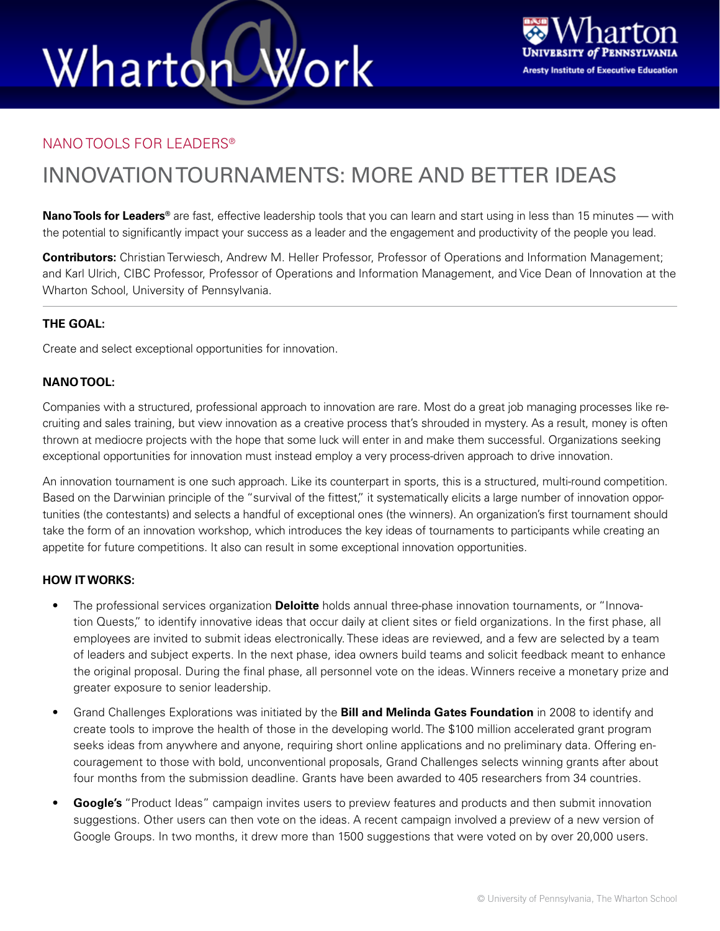# Wharton Work



### NANO TOOLS FOR LEADERS®

### INNOVATION TOURNAMENTS: MORE AND BETTER IDEAS

**Nano Tools for Leaders®** are fast, effective leadership tools that you can learn and start using in less than 15 minutes — with the potential to significantly impact your success as a leader and the engagement and productivity of the people you lead.

**Contributors:** Christian Terwiesch, Andrew M. Heller Professor, Professor of Operations and Information Management; and Karl Ulrich, CIBC Professor, Professor of Operations and Information Management, and Vice Dean of Innovation at the Wharton School, University of Pennsylvania.

### **THE GOAL:**

Create and select exceptional opportunities for innovation.

### **NANO TOOL:**

Companies with a structured, professional approach to innovation are rare. Most do a great job managing processes like recruiting and sales training, but view innovation as a creative process that's shrouded in mystery. As a result, money is often thrown at mediocre projects with the hope that some luck will enter in and make them successful. Organizations seeking exceptional opportunities for innovation must instead employ a very process-driven approach to drive innovation.

An innovation tournament is one such approach. Like its counterpart in sports, this is a structured, multi-round competition. Based on the Darwinian principle of the "survival of the fittest," it systematically elicits a large number of innovation opportunities (the contestants) and selects a handful of exceptional ones (the winners). An organization's first tournament should take the form of an innovation workshop, which introduces the key ideas of tournaments to participants while creating an appetite for future competitions. It also can result in some exceptional innovation opportunities.

### **HOW IT WORKS:**

- The professional services organization **Deloitte** holds annual three-phase innovation tournaments, or "Innovation Quests," to identify innovative ideas that occur daily at client sites or field organizations. In the first phase, all employees are invited to submit ideas electronically. These ideas are reviewed, and a few are selected by a team of leaders and subject experts. In the next phase, idea owners build teams and solicit feedback meant to enhance the original proposal. During the final phase, all personnel vote on the ideas. Winners receive a monetary prize and greater exposure to senior leadership.
- Grand Challenges Explorations was initiated by the **Bill and Melinda Gates Foundation** in 2008 to identify and create tools to improve the health of those in the developing world. The \$100 million accelerated grant program seeks ideas from anywhere and anyone, requiring short online applications and no preliminary data. Offering encouragement to those with bold, unconventional proposals, Grand Challenges selects winning grants after about four months from the submission deadline. Grants have been awarded to 405 researchers from 34 countries.
- **Google's** "Product Ideas" campaign invites users to preview features and products and then submit innovation suggestions. Other users can then vote on the ideas. A recent campaign involved a preview of a new version of Google Groups. In two months, it drew more than 1500 suggestions that were voted on by over 20,000 users.